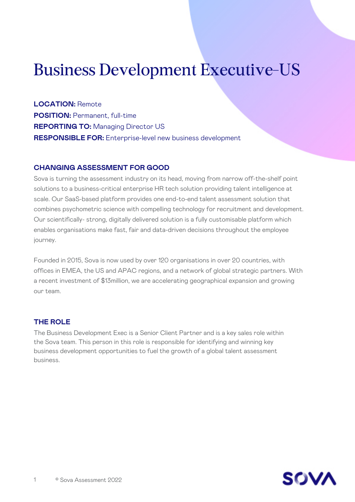# Business Development Executive-US

**LOCATION:** Remote **POSITION:** Permanent, full-time **REPORTING TO:** Managing Director US **RESPONSIBLE FOR:** Enterprise-level new business development

#### **CHANGING ASSESSMENT FOR GOOD**

Sova is turning the assessment industry on its head, moving from narrow off-the-shelf point solutions to a business-critical enterprise HR tech solution providing talent intelligence at scale. Our SaaS-based platform provides one end-to-end talent assessment solution that combines psychometric science with compelling technology for recruitment and development. Our scientifically- strong, digitally delivered solution is a fully customisable platform which enables organisations make fast, fair and data-driven decisions throughout the employee journey.

Founded in 2015, Sova is now used by over 120 organisations in over 20 countries, with offices in EMEA, the US and APAC regions, and a network of global strategic partners. With a recent investment of \$13million, we are accelerating geographical expansion and growing our team.

## **THE ROLE**

The Business Development Exec is a Senior Client Partner and is a key sales role within the Sova team. This person in this role is responsible for identifying and winning key business development opportunities to fuel the growth of a global talent assessment business.

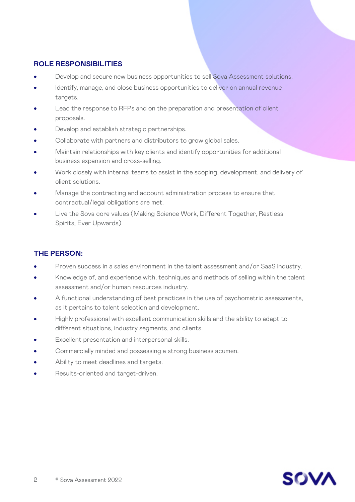## **ROLE RESPONSIBILITIES**

- Develop and secure new business opportunities to sell Sova Assessment solutions.
- Identify, manage, and close business opportunities to deliver on annual revenue targets.
- Lead the response to RFPs and on the preparation and presentation of client proposals.
- Develop and establish strategic partnerships.
- Collaborate with partners and distributors to grow global sales.
- Maintain relationships with key clients and identify opportunities for additional business expansion and cross-selling.
- Work closely with internal teams to assist in the scoping, development, and delivery of client solutions.
- Manage the contracting and account administration process to ensure that contractual/legal obligations are met.
- Live the Sova core values (Making Science Work, Different Together, Restless Spirits, Ever Upwards)

## **THE PERSON:**

- Proven success in a sales environment in the talent assessment and/or SaaS industry.
- Knowledge of, and experience with, techniques and methods of selling within the talent assessment and/or human resources industry.
- A functional understanding of best practices in the use of psychometric assessments, as it pertains to talent selection and development.
- Highly professional with excellent communication skills and the ability to adapt to different situations, industry segments, and clients.
- Excellent presentation and interpersonal skills.
- Commercially minded and possessing a strong business acumen.
- Ability to meet deadlines and targets.
- Results-oriented and target-driven.